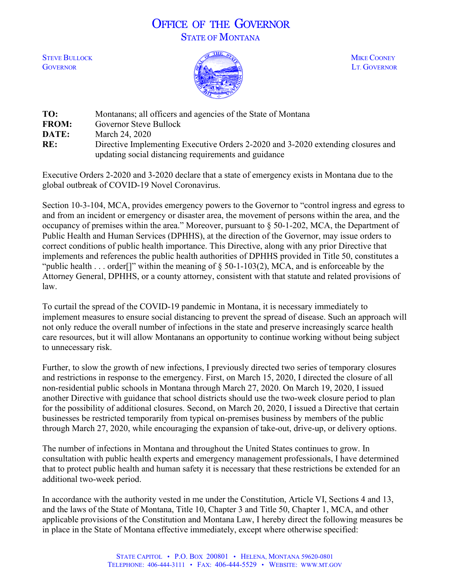# OFFICE OF THE GOVERNOR STATE OF MONTANA



| TO:          | Montanans; all officers and agencies of the State of Montana                     |
|--------------|----------------------------------------------------------------------------------|
| <b>FROM:</b> | Governor Steve Bullock                                                           |
| DATE:        | March 24, 2020                                                                   |
| RE:          | Directive Implementing Executive Orders 2-2020 and 3-2020 extending closures and |
|              | updating social distancing requirements and guidance                             |

Executive Orders 2-2020 and 3-2020 declare that a state of emergency exists in Montana due to the global outbreak of COVID-19 Novel Coronavirus.

Section 10-3-104, MCA, provides emergency powers to the Governor to "control ingress and egress to and from an incident or emergency or disaster area, the movement of persons within the area, and the occupancy of premises within the area." Moreover, pursuant to § 50-1-202, MCA, the Department of Public Health and Human Services (DPHHS), at the direction of the Governor, may issue orders to correct conditions of public health importance. This Directive, along with any prior Directive that implements and references the public health authorities of DPHHS provided in Title 50, constitutes a "public health . . . order<sup>[]</sup>" within the meaning of  $\S$  50-1-103(2), MCA, and is enforceable by the Attorney General, DPHHS, or a county attorney, consistent with that statute and related provisions of law.

To curtail the spread of the COVID-19 pandemic in Montana, it is necessary immediately to implement measures to ensure social distancing to prevent the spread of disease. Such an approach will not only reduce the overall number of infections in the state and preserve increasingly scarce health care resources, but it will allow Montanans an opportunity to continue working without being subject to unnecessary risk.

Further, to slow the growth of new infections, I previously directed two series of temporary closures and restrictions in response to the emergency. First, on March 15, 2020, I directed the closure of all non-residential public schools in Montana through March 27, 2020. On March 19, 2020, I issued another Directive with guidance that school districts should use the two-week closure period to plan for the possibility of additional closures. Second, on March 20, 2020, I issued a Directive that certain businesses be restricted temporarily from typical on-premises business by members of the public through March 27, 2020, while encouraging the expansion of take-out, drive-up, or delivery options.

The number of infections in Montana and throughout the United States continues to grow. In consultation with public health experts and emergency management professionals, I have determined that to protect public health and human safety it is necessary that these restrictions be extended for an additional two-week period.

In accordance with the authority vested in me under the Constitution, Article VI, Sections 4 and 13, and the laws of the State of Montana, Title 10, Chapter 3 and Title 50, Chapter 1, MCA, and other applicable provisions of the Constitution and Montana Law, I hereby direct the following measures be in place in the State of Montana effective immediately, except where otherwise specified: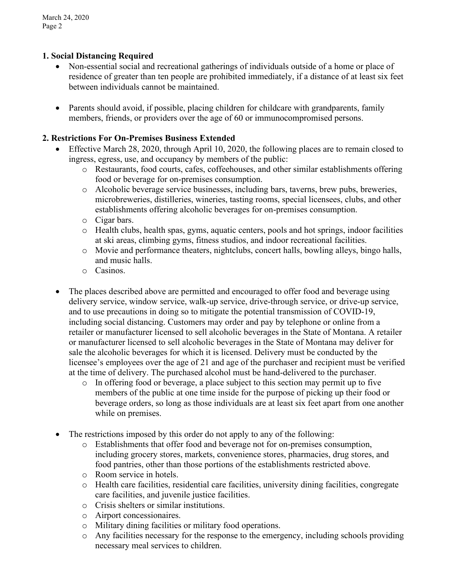# **1. Social Distancing Required**

- Non-essential social and recreational gatherings of individuals outside of a home or place of residence of greater than ten people are prohibited immediately, if a distance of at least six feet between individuals cannot be maintained.
- Parents should avoid, if possible, placing children for childcare with grandparents, family members, friends, or providers over the age of 60 or immunocompromised persons.

### **2. Restrictions For On-Premises Business Extended**

- Effective March 28, 2020, through April 10, 2020, the following places are to remain closed to ingress, egress, use, and occupancy by members of the public:
	- o Restaurants, food courts, cafes, coffeehouses, and other similar establishments offering food or beverage for on-premises consumption.
	- o Alcoholic beverage service businesses, including bars, taverns, brew pubs, breweries, microbreweries, distilleries, wineries, tasting rooms, special licensees, clubs, and other establishments offering alcoholic beverages for on-premises consumption.
	- o Cigar bars.
	- o Health clubs, health spas, gyms, aquatic centers, pools and hot springs, indoor facilities at ski areas, climbing gyms, fitness studios, and indoor recreational facilities.
	- o Movie and performance theaters, nightclubs, concert halls, bowling alleys, bingo halls, and music halls.
	- o Casinos.
- The places described above are permitted and encouraged to offer food and beverage using delivery service, window service, walk-up service, drive-through service, or drive-up service, and to use precautions in doing so to mitigate the potential transmission of COVID-19, including social distancing. Customers may order and pay by telephone or online from a retailer or manufacturer licensed to sell alcoholic beverages in the State of Montana. A retailer or manufacturer licensed to sell alcoholic beverages in the State of Montana may deliver for sale the alcoholic beverages for which it is licensed. Delivery must be conducted by the licensee's employees over the age of 21 and age of the purchaser and recipient must be verified at the time of delivery. The purchased alcohol must be hand-delivered to the purchaser.
	- o In offering food or beverage, a place subject to this section may permit up to five members of the public at one time inside for the purpose of picking up their food or beverage orders, so long as those individuals are at least six feet apart from one another while on premises.
- The restrictions imposed by this order do not apply to any of the following:
	- o Establishments that offer food and beverage not for on-premises consumption, including grocery stores, markets, convenience stores, pharmacies, drug stores, and food pantries, other than those portions of the establishments restricted above.
	- o Room service in hotels.
	- o Health care facilities, residential care facilities, university dining facilities, congregate care facilities, and juvenile justice facilities.
	- o Crisis shelters or similar institutions.
	- o Airport concessionaires.
	- o Military dining facilities or military food operations.
	- o Any facilities necessary for the response to the emergency, including schools providing necessary meal services to children.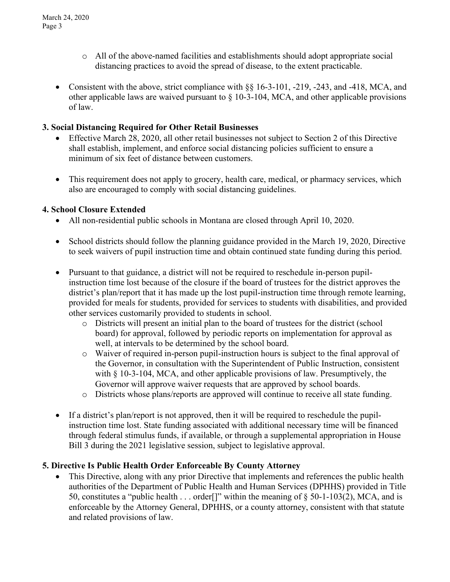- o All of the above-named facilities and establishments should adopt appropriate social distancing practices to avoid the spread of disease, to the extent practicable.
- Consistent with the above, strict compliance with §§ 16-3-101, -219, -243, and -418, MCA, and other applicable laws are waived pursuant to § 10-3-104, MCA, and other applicable provisions of law.

## **3. Social Distancing Required for Other Retail Businesses**

- Effective March 28, 2020, all other retail businesses not subject to Section 2 of this Directive shall establish, implement, and enforce social distancing policies sufficient to ensure a minimum of six feet of distance between customers.
- This requirement does not apply to grocery, health care, medical, or pharmacy services, which also are encouraged to comply with social distancing guidelines.

#### **4. School Closure Extended**

- All non-residential public schools in Montana are closed through April 10, 2020.
- School districts should follow the planning guidance provided in the March 19, 2020, Directive to seek waivers of pupil instruction time and obtain continued state funding during this period.
- Pursuant to that guidance, a district will not be required to reschedule in-person pupilinstruction time lost because of the closure if the board of trustees for the district approves the district's plan/report that it has made up the lost pupil-instruction time through remote learning, provided for meals for students, provided for services to students with disabilities, and provided other services customarily provided to students in school.
	- o Districts will present an initial plan to the board of trustees for the district (school board) for approval, followed by periodic reports on implementation for approval as well, at intervals to be determined by the school board.
	- o Waiver of required in-person pupil-instruction hours is subject to the final approval of the Governor, in consultation with the Superintendent of Public Instruction, consistent with  $\S 10-3-104$ , MCA, and other applicable provisions of law. Presumptively, the Governor will approve waiver requests that are approved by school boards.
	- o Districts whose plans/reports are approved will continue to receive all state funding.
- If a district's plan/report is not approved, then it will be required to reschedule the pupilinstruction time lost. State funding associated with additional necessary time will be financed through federal stimulus funds, if available, or through a supplemental appropriation in House Bill 3 during the 2021 legislative session, subject to legislative approval.

#### **5. Directive Is Public Health Order Enforceable By County Attorney**

• This Directive, along with any prior Directive that implements and references the public health authorities of the Department of Public Health and Human Services (DPHHS) provided in Title 50, constitutes a "public health . . . order<sup>[]"</sup> within the meaning of  $\S$  50-1-103(2), MCA, and is enforceable by the Attorney General, DPHHS, or a county attorney, consistent with that statute and related provisions of law.